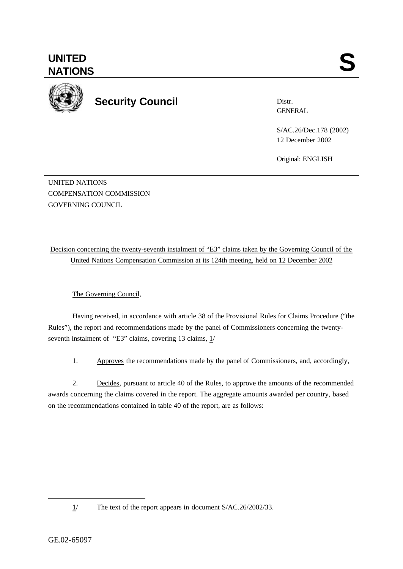

**UNITED**

**Security Council**

Distr. **GENERAL** 

S/AC.26/Dec.178 (2002) 12 December 2002

Original: ENGLISH

UNITED NATIONS COMPENSATION COMMISSION GOVERNING COUNCIL

Decision concerning the twenty-seventh instalment of "E3" claims taken by the Governing Council of the United Nations Compensation Commission at its 124th meeting, held on 12 December 2002

The Governing Council,

Having received, in accordance with article 38 of the Provisional Rules for Claims Procedure ("the Rules"), the report and recommendations made by the panel of Commissioners concerning the twentyseventh instalment of "E3" claims, covering 13 claims,  $1/$ 

1. Approves the recommendations made by the panel of Commissioners, and, accordingly,

2. Decides, pursuant to article 40 of the Rules, to approve the amounts of the recommended awards concerning the claims covered in the report. The aggregate amounts awarded per country, based on the recommendations contained in table 40 of the report, are as follows:

l

<sup>1/</sup> The text of the report appears in document S/AC.26/2002/33.